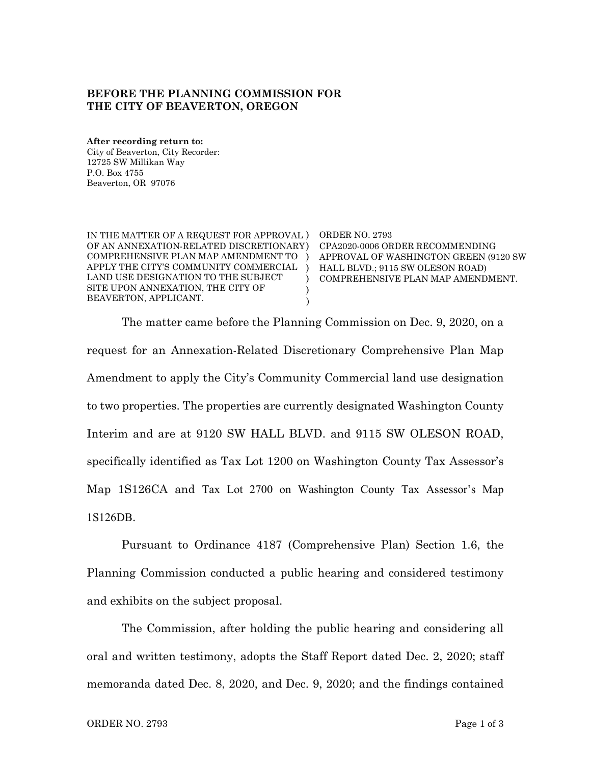## **BEFORE THE PLANNING COMMISSION FOR THE CITY OF BEAVERTON, OREGON**

**After recording return to:** City of Beaverton, City Recorder: 12725 SW Millikan Way P.O. Box 4755 Beaverton, OR 97076

| IN THE MATTER OF A REQUEST FOR APPROVAL )<br>OF AN ANNEXATION-RELATED DISCRETIONARY)<br>COMPREHENSIVE PLAN MAP AMENDMENT TO<br>APPLY THE CITY'S COMMUNITY COMMERCIAL<br>LAND USE DESIGNATION TO THE SUBJECT<br>SITE UPON ANNEXATION. THE CITY OF<br>BEAVERTON. APPLICANT. | ORDER NO. 2793<br>CPA2020-0006 ORDER RECOMMENDING<br>APPROVAL OF WASHINGTON GREEN (9120 SW<br>HALL BLVD.; 9115 SW OLESON ROAD)<br>COMPREHENSIVE PLAN MAP AMENDMENT. |
|---------------------------------------------------------------------------------------------------------------------------------------------------------------------------------------------------------------------------------------------------------------------------|---------------------------------------------------------------------------------------------------------------------------------------------------------------------|
|---------------------------------------------------------------------------------------------------------------------------------------------------------------------------------------------------------------------------------------------------------------------------|---------------------------------------------------------------------------------------------------------------------------------------------------------------------|

The matter came before the Planning Commission on Dec. 9, 2020, on a request for an Annexation-Related Discretionary Comprehensive Plan Map Amendment to apply the City's Community Commercial land use designation to two properties. The properties are currently designated Washington County Interim and are at 9120 SW HALL BLVD. and 9115 SW OLESON ROAD, specifically identified as Tax Lot 1200 on Washington County Tax Assessor's Map 1S126CA and Tax Lot 2700 on Washington County Tax Assessor's Map 1S126DB.

Pursuant to Ordinance 4187 (Comprehensive Plan) Section 1.6, the Planning Commission conducted a public hearing and considered testimony and exhibits on the subject proposal.

The Commission, after holding the public hearing and considering all oral and written testimony, adopts the Staff Report dated Dec. 2, 2020; staff memoranda dated Dec. 8, 2020, and Dec. 9, 2020; and the findings contained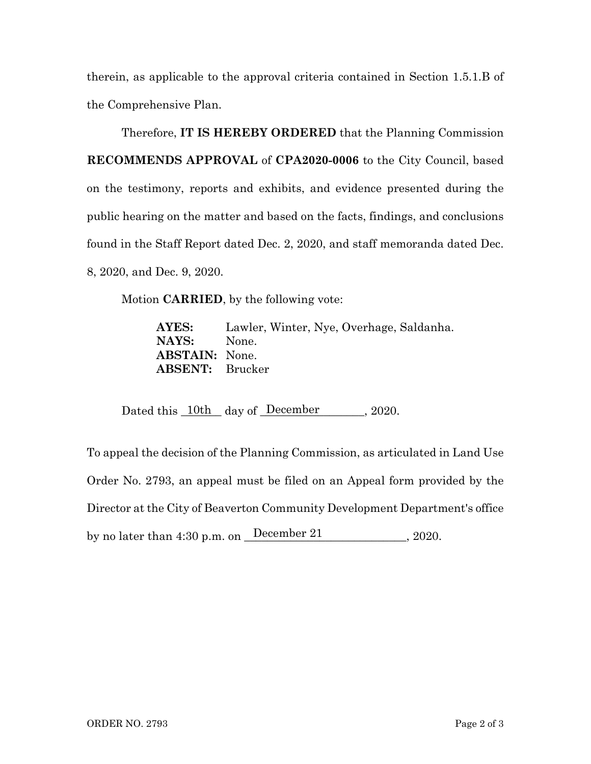therein, as applicable to the approval criteria contained in Section 1.5.1.B of the Comprehensive Plan.

Therefore, **IT IS HEREBY ORDERED** that the Planning Commission **RECOMMENDS APPROVAL** of **CPA2020-0006** to the City Council, based on the testimony, reports and exhibits, and evidence presented during the public hearing on the matter and based on the facts, findings, and conclusions found in the Staff Report dated Dec. 2, 2020, and staff memoranda dated Dec. 8, 2020, and Dec. 9, 2020.

Motion **CARRIED**, by the following vote:

**AYES:** Lawler, Winter, Nye, Overhage, Saldanha. **NAYS:** None. **ABSTAIN:** None. **ABSENT:** Brucker

Dated this  $10th$  day of December 2020.

To appeal the decision of the Planning Commission, as articulated in Land Use Order No. 2793, an appeal must be filed on an Appeal form provided by the Director at the City of Beaverton Community Development Department's office by no later than 4:30 p.m. on  $\frac{\text{December 21}}{\text{December 21}}$ , 2020.